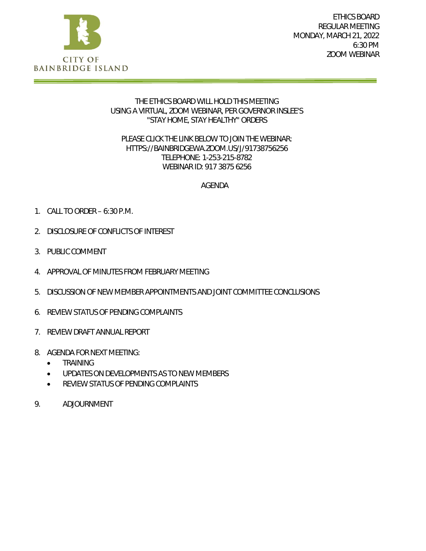

ETHICS BOARD REGULAR MEETING MONDAY, MARCH 21, 2022 6:30 PM ZOOM WEBINAR

#### THE ETHICS BOARD WILL HOLD THIS MEETING USING A VIRTUAL, ZOOM WEBINAR, PER GOVERNOR INSLEE'S "STAY HOME, STAY HEALTHY" ORDERS

#### PLEASE CLICK THE LINK BELOW TO JOIN THE WEBINAR: HTTPS://BAINBRIDGEWA.ZOOM.US/J/91738756256 TELEPHONE: 1-253-215-8782 WEBINAR ID: 917 3875 6256

### AGENDA

- 1. CALL TO ORDER 6:30 P.M.
- 2. DISCLOSURE OF CONFLICTS OF INTEREST
- 3. PUBLIC COMMENT
- 4. APPROVAL OF MINUTES FROM FEBRUARY MEETING
- 5. DISCUSSION OF NEW MEMBER APPOINTMENTS AND JOINT COMMITTEE CONCLUSIONS
- 6. REVIEW STATUS OF PENDING COMPLAINTS
- 7. REVIEW DRAFT ANNUAL REPORT
- 8. AGENDA FOR NEXT MEETING:
	- **•** TRAINING
	- UPDATES ON DEVELOPMENTS AS TO NEW MEMBERS
	- **REVIEW STATUS OF PENDING COMPLAINTS**
- 9. ADJOURNMENT